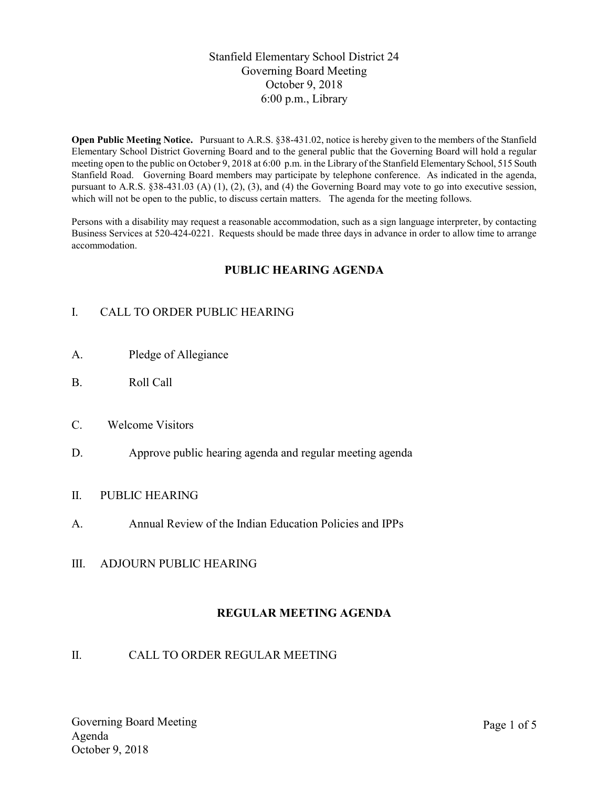## Stanfield Elementary School District 24 Governing Board Meeting October 9, 2018 6:00 p.m., Library

Open Public Meeting Notice. Pursuant to A.R.S. §38-431.02, notice is hereby given to the members of the Stanfield Elementary School District Governing Board and to the general public that the Governing Board will hold a regular meeting open to the public on October 9, 2018 at 6:00 p.m. in the Library of the Stanfield Elementary School, 515 South Stanfield Road. Governing Board members may participate by telephone conference. As indicated in the agenda, pursuant to A.R.S. §38-431.03 (A) (1), (2), (3), and (4) the Governing Board may vote to go into executive session, which will not be open to the public, to discuss certain matters. The agenda for the meeting follows.

Persons with a disability may request a reasonable accommodation, such as a sign language interpreter, by contacting Business Services at 520-424-0221. Requests should be made three days in advance in order to allow time to arrange accommodation.

## PUBLIC HEARING AGENDA

# I. CALL TO ORDER PUBLIC HEARING

- A. Pledge of Allegiance
- B. Roll Call
- C. Welcome Visitors
- D. Approve public hearing agenda and regular meeting agenda

#### II. PUBLIC HEARING

- A. Annual Review of the Indian Education Policies and IPPs
- III. ADJOURN PUBLIC HEARING

## REGULAR MEETING AGENDA

#### II. CALL TO ORDER REGULAR MEETING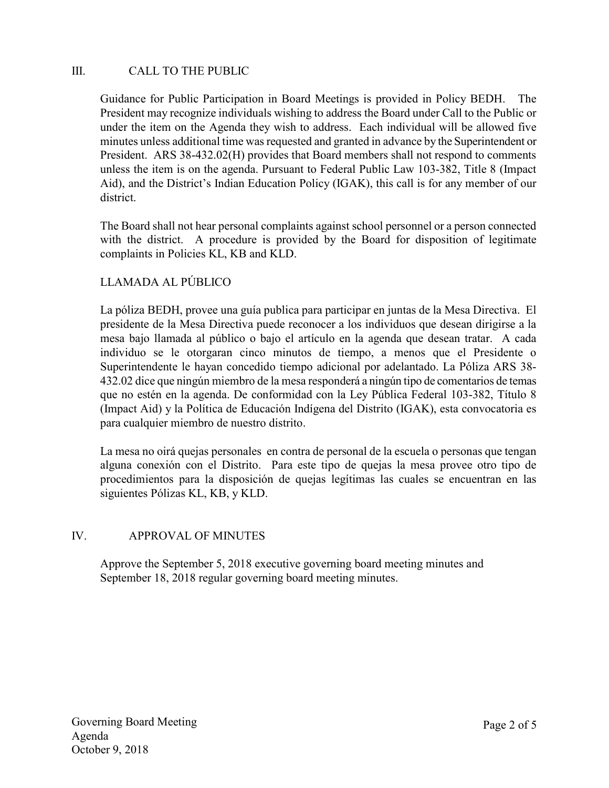## III. CALL TO THE PUBLIC

Guidance for Public Participation in Board Meetings is provided in Policy BEDH. The President may recognize individuals wishing to address the Board under Call to the Public or under the item on the Agenda they wish to address. Each individual will be allowed five minutes unless additional time was requested and granted in advance by the Superintendent or President. ARS 38-432.02(H) provides that Board members shall not respond to comments unless the item is on the agenda. Pursuant to Federal Public Law 103-382, Title 8 (Impact Aid), and the District's Indian Education Policy (IGAK), this call is for any member of our district.

The Board shall not hear personal complaints against school personnel or a person connected with the district. A procedure is provided by the Board for disposition of legitimate complaints in Policies KL, KB and KLD.

## LLAMADA AL PÚBLICO

La póliza BEDH, provee una guía publica para participar en juntas de la Mesa Directiva. El presidente de la Mesa Directiva puede reconocer a los individuos que desean dirigirse a la mesa bajo llamada al público o bajo el artículo en la agenda que desean tratar. A cada individuo se le otorgaran cinco minutos de tiempo, a menos que el Presidente o Superintendente le hayan concedido tiempo adicional por adelantado. La Póliza ARS 38- 432.02 dice que ningún miembro de la mesa responderá a ningún tipo de comentarios de temas que no estén en la agenda. De conformidad con la Ley Pública Federal 103-382, Título 8 (Impact Aid) y la Política de Educación Indígena del Distrito (IGAK), esta convocatoria es para cualquier miembro de nuestro distrito.

La mesa no oirá quejas personales en contra de personal de la escuela o personas que tengan alguna conexión con el Distrito. Para este tipo de quejas la mesa provee otro tipo de procedimientos para la disposición de quejas legítimas las cuales se encuentran en las siguientes Pólizas KL, KB, y KLD.

## IV. APPROVAL OF MINUTES

Approve the September 5, 2018 executive governing board meeting minutes and September 18, 2018 regular governing board meeting minutes.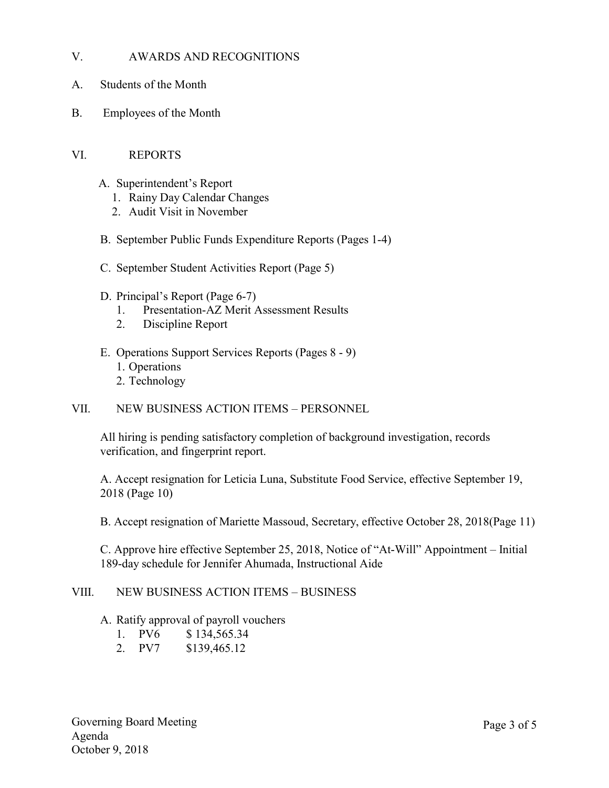### V. AWARDS AND RECOGNITIONS

- A. Students of the Month
- B. Employees of the Month

#### VI. REPORTS

- A. Superintendent's Report
	- 1. Rainy Day Calendar Changes
	- 2. Audit Visit in November
- B. September Public Funds Expenditure Reports (Pages 1-4)
- C. September Student Activities Report (Page 5)
- D. Principal's Report (Page 6-7)
	- 1. Presentation-AZ Merit Assessment Results
	- 2. Discipline Report
- E. Operations Support Services Reports (Pages 8 9) 1. Operations 2. Technology

#### VII. NEW BUSINESS ACTION ITEMS – PERSONNEL

All hiring is pending satisfactory completion of background investigation, records verification, and fingerprint report.

A. Accept resignation for Leticia Luna, Substitute Food Service, effective September 19, 2018 (Page 10)

B. Accept resignation of Mariette Massoud, Secretary, effective October 28, 2018(Page 11)

C. Approve hire effective September 25, 2018, Notice of "At-Will" Appointment – Initial 189-day schedule for Jennifer Ahumada, Instructional Aide

### VIII. NEW BUSINESS ACTION ITEMS – BUSINESS

#### A. Ratify approval of payroll vouchers

- 1. PV6 \$ 134,565.34
- 2. PV7 \$139,465.12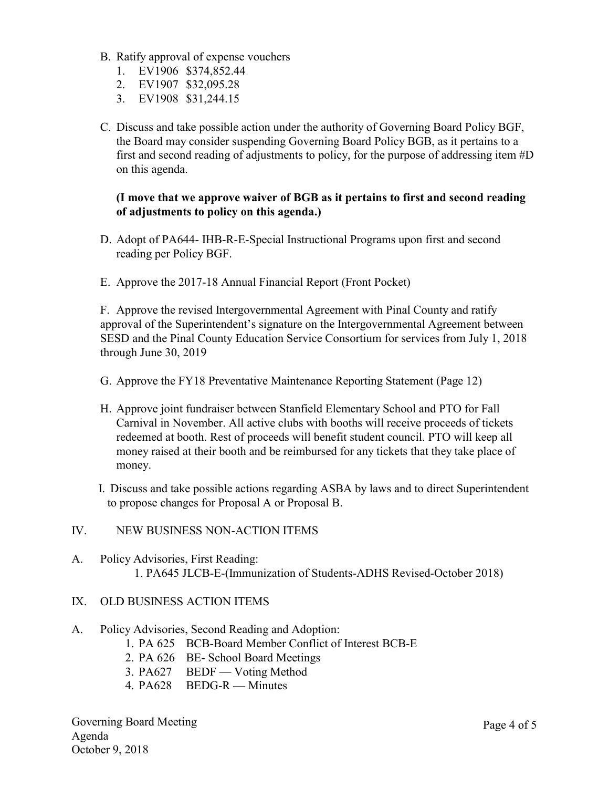- B. Ratify approval of expense vouchers
	- 1. EV1906 \$374,852.44
	- 2. EV1907 \$32,095.28
	- 3. EV1908 \$31,244.15
- C. Discuss and take possible action under the authority of Governing Board Policy BGF, the Board may consider suspending Governing Board Policy BGB, as it pertains to a first and second reading of adjustments to policy, for the purpose of addressing item #D on this agenda.

### (I move that we approve waiver of BGB as it pertains to first and second reading of adjustments to policy on this agenda.)

- D. Adopt of PA644- IHB-R-E-Special Instructional Programs upon first and second reading per Policy BGF.
- E. Approve the 2017-18 Annual Financial Report (Front Pocket)

F. Approve the revised Intergovernmental Agreement with Pinal County and ratify approval of the Superintendent's signature on the Intergovernmental Agreement between SESD and the Pinal County Education Service Consortium for services from July 1, 2018 through June 30, 2019

- G. Approve the FY18 Preventative Maintenance Reporting Statement (Page 12)
- H. Approve joint fundraiser between Stanfield Elementary School and PTO for Fall Carnival in November. All active clubs with booths will receive proceeds of tickets redeemed at booth. Rest of proceeds will benefit student council. PTO will keep all money raised at their booth and be reimbursed for any tickets that they take place of money.
- I. Discuss and take possible actions regarding ASBA by laws and to direct Superintendent to propose changes for Proposal A or Proposal B.

#### IV. NEW BUSINESS NON-ACTION ITEMS

A. Policy Advisories, First Reading: 1. PA645 JLCB-E-(Immunization of Students-ADHS Revised-October 2018)

#### IX. OLD BUSINESS ACTION ITEMS

- A. Policy Advisories, Second Reading and Adoption:
	- 1. PA 625 BCB-Board Member Conflict of Interest BCB-E
	- 2. PA 626 BE- School Board Meetings
	- 3. PA627 BEDF Voting Method
	- 4. PA628 BEDG-R Minutes

Governing Board Meeting Agenda October 9, 2018